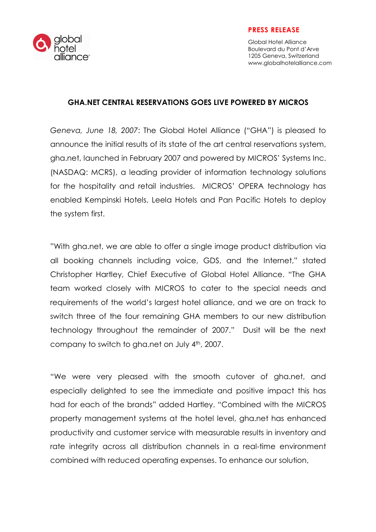

#### PRESS RELEASE

Global Hotel Alliance Boulevard du Pont d'Arve 1205 Geneva, Switzerland www.globalhotelalliance.com

# GHA.NET CENTRAL RESERVATIONS GOES LIVE POWERED BY MICROS

Geneva, June 18, 2007: The Global Hotel Alliance ("GHA") is pleased to announce the initial results of its state of the art central reservations system, gha.net, launched in February 2007 and powered by MICROS' Systems Inc. (NASDAQ: MCRS), a leading provider of information technology solutions for the hospitality and retail industries. MICROS' OPERA technology has enabled Kempinski Hotels, Leela Hotels and Pan Pacific Hotels to deploy the system first.

"With gha.net, we are able to offer a single image product distribution via all booking channels including voice, GDS, and the Internet," stated Christopher Hartley, Chief Executive of Global Hotel Alliance. "The GHA team worked closely with MICROS to cater to the special needs and requirements of the world's largest hotel alliance, and we are on track to switch three of the four remaining GHA members to our new distribution technology throughout the remainder of 2007." Dusit will be the next company to switch to gha.net on July 4th, 2007.

"We were very pleased with the smooth cutover of gha.net, and especially delighted to see the immediate and positive impact this has had for each of the brands" added Hartley. "Combined with the MICROS property management systems at the hotel level, gha.net has enhanced productivity and customer service with measurable results in inventory and rate integrity across all distribution channels in a real-time environment combined with reduced operating expenses. To enhance our solution,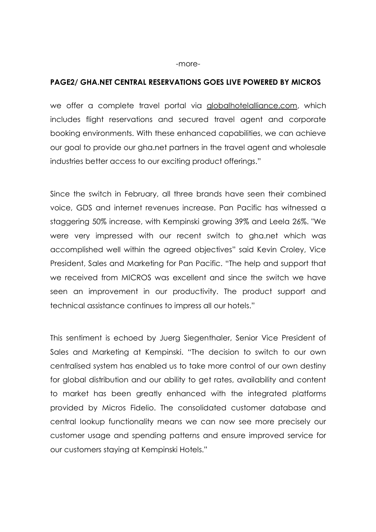## PAGE2/ GHA.NET CENTRAL RESERVATIONS GOES LIVE POWERED BY MICROS

we offer a complete travel portal via globalhotelalliance.com, which includes flight reservations and secured travel agent and corporate booking environments. With these enhanced capabilities, we can achieve our goal to provide our gha.net partners in the travel agent and wholesale industries better access to our exciting product offerings."

Since the switch in February, all three brands have seen their combined voice, GDS and internet revenues increase. Pan Pacific has witnessed a staggering 50% increase, with Kempinski growing 39% and Leela 26%. "We were very impressed with our recent switch to gha.net which was accomplished well within the agreed objectives" said Kevin Croley, Vice President, Sales and Marketing for Pan Pacific. "The help and support that we received from MICROS was excellent and since the switch we have seen an improvement in our productivity. The product support and technical assistance continues to impress all our hotels."

This sentiment is echoed by Juerg Siegenthaler, Senior Vice President of Sales and Marketing at Kempinski. "The decision to switch to our own centralised system has enabled us to take more control of our own destiny for global distribution and our ability to get rates, availability and content to market has been greatly enhanced with the integrated platforms provided by Micros Fidelio. The consolidated customer database and central lookup functionality means we can now see more precisely our customer usage and spending patterns and ensure improved service for our customers staying at Kempinski Hotels."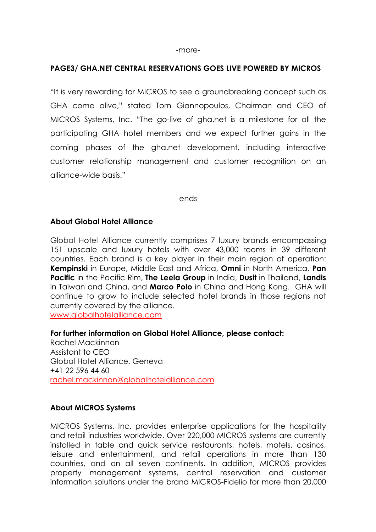#### PAGE3/ GHA.NET CENTRAL RESERVATIONS GOES LIVE POWERED BY MICROS

"It is very rewarding for MICROS to see a groundbreaking concept such as GHA come alive," stated Tom Giannopoulos, Chairman and CEO of MICROS Systems, Inc. "The go-live of gha.net is a milestone for all the participating GHA hotel members and we expect further gains in the coming phases of the gha.net development, including interactive customer relationship management and customer recognition on an alliance-wide basis."

-ends-

## About Global Hotel Alliance

Global Hotel Alliance currently comprises 7 luxury brands encompassing 151 upscale and luxury hotels with over 43,000 rooms in 39 different countries. Each brand is a key player in their main region of operation: Kempinski in Europe, Middle East and Africa, Omni in North America, Pan Pacific in the Pacific Rim, The Leela Group in India, Dusit in Thailand, Landis in Taiwan and China, and Marco Polo in China and Hong Kong. GHA will continue to grow to include selected hotel brands in those regions not currently covered by the alliance.

www.globalhotelalliance.com

For further information on Global Hotel Alliance, please contact: Rachel Mackinnon Assistant to CEO Global Hotel Alliance, Geneva +41 22 596 44 60 rachel.mackinnon@globalhotelalliance.com

#### About MICROS Systems

MICROS Systems, Inc. provides enterprise applications for the hospitality and retail industries worldwide. Over 220,000 MICROS systems are currently installed in table and quick service restaurants, hotels, motels, casinos, leisure and entertainment, and retail operations in more than 130 countries, and on all seven continents. In addition, MICROS provides property management systems, central reservation and customer information solutions under the brand MICROS-Fidelio for more than 20,000